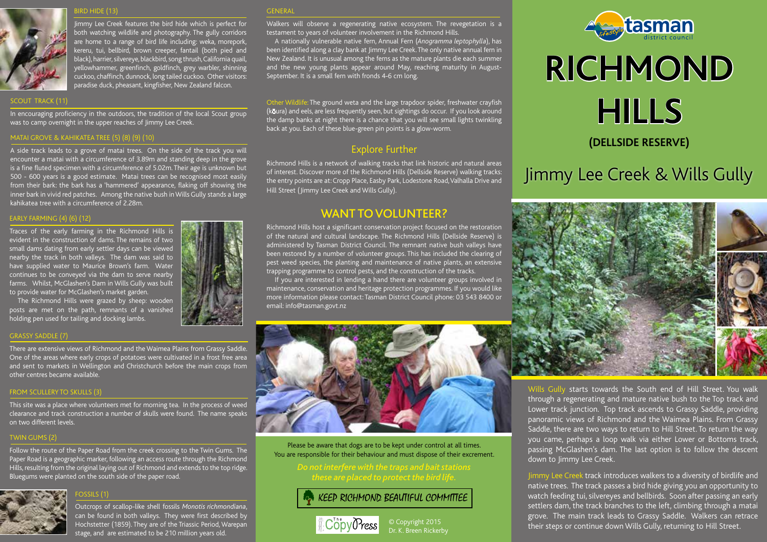#### IRD HIDE (13)



Jimmy Lee Creek features the bird hide which is perfect for both watching wildlife and photography. The gully corridors are home to a range of bird life including: weka, morepork, kereru, tui, bellbird, brown creeper, fantail (both pied and black), harrier, silvereye, blackbird, song thrush, California quail, yellowhammer, greenfinch, goldfinch, grey warbler, shinning cuckoo, chaffinch, dunnock, long tailed cuckoo. Other visitors: paradise duck, pheasant, kingfisher, New Zealand falcon.

#### SCOUT TRACK (11)

In encouraging proficiency in the outdoors, the tradition of the local Scout group was to camp overnight in the upper reaches of Jimmy Lee Creek.

#### MATAI GROVE & KAHIKATEA TREE (5) (8) (9) (10)

A side track leads to a grove of matai trees. On the side of the track you will encounter a matai with a circumference of 3.89m and standing deep in the grove is a fine fluted specimen with a circumference of 5.02m. Their age is unknown but 500 - 600 years is a good estimate. Matai trees can be recognised most easily from their bark: the bark has a 'hammered' appearance, flaking off showing the inner bark in vivid red patches. Among the native bush in Wills Gully stands a large kahikatea tree with a circumference of 2.28m.

#### EARLY FARMING (4) (6) (12)

Traces of the early farming in the Richmond Hills is evident in the construction of dams. The remains of two small dams dating from early settler days can be viewed nearby the track in both valleys. The dam was said to have supplied water to Maurice Brown's farm. Water continues to be conveyed via the dam to serve nearby farms. Whilst, McGlashen's Dam in Wills Gully was built to provide water for McGlashen's market garden.

The Richmond Hills were grazed by sheep: wooden posts are met on the path, remnants of a vanished holding pen used for tailing and docking lambs.

#### GRASSY SADDLE (7)

There are extensive views of Richmond and the Waimea Plains from Grassy Saddle. One of the areas where early crops of potatoes were cultivated in a frost free area and sent to markets in Wellington and Christchurch before the main crops from other centres became available.

#### FROM SCULLERY TO SKULLS (3)

This site was a place where volunteers met for morning tea. In the process of weed clearance and track construction a number of skulls were found. The name speaks on two different levels.

#### TWIN GUMS (2)

Follow the route of the Paper Road from the creek crossing to the Twin Gums. The Paper Road is a geographic marker, following an access route through the Richmond Hills, resulting from the original laying out of Richmond and extends to the top ridge. Bluegums were planted on the south side of the paper road.



#### OSSILS (1)

Outcrops of scallop-like shell fossils *Monotis richmondiana*, can be found in both valleys. They were first described by Hochstetter (1859). They are of the Triassic Period, Warepan stage, and are estimated to be 210 million years old.

#### GENERAL

Walkers will observe a regenerating native ecosystem. The revegetation is a testament to years of volunteer involvement in the Richmond Hills.

A nationally vulnerable native fern, Annual Fern (*Anogramma leptophylla*), has been identified along a clay bank at Jimmy Lee Creek. The only native annual fern in New Zealand. It is unusual among the ferns as the mature plants die each summer and the new young plants appear around May, reaching maturity in August-September. It is a small fern with fronds 4-6 cm long.

Other Wildlife: The ground weta and the large trapdoor spider, freshwater crayfish (kŌura) and eels, are less frequently seen, but sightings do occur. If you look around the damp banks at night there is a chance that you will see small lights twinkling back at you. Each of these blue-green pin points is a glow-worm.

### Explore Further

Richmond Hills is a network of walking tracks that link historic and natural areas of interest. Discover more of the Richmond Hills (Dellside Reserve) walking tracks: the entry points are at: Cropp Place, Easby Park, Lodestone Road, Valhalla Drive and Hill Street (Jimmy Lee Creek and Wills Gully).

## WANT TO VOLUNTEER?

Richmond Hills host a significant conservation project focused on the restoration of the natural and cultural landscape. The Richmond Hills (Dellside Reserve) is administered by Tasman District Council. The remnant native bush valleys have been restored by a number of volunteer groups. This has included the clearing of pest weed species, the planting and maintenance of native plants, an extensive trapping programme to control pests, and the construction of the tracks.

If you are interested in lending a hand there are volunteer groups involved in maintenance, conservation and heritage protection programmes. If you would like more information please contact: Tasman District Council phone: 03 543 8400 or email: info@tasman.govt.nz



# **RICHMOND HILLS (DELLSIDE RESERVE)**

# Jimmy Lee Creek & Wills Gully





Please be aware that dogs are to be kept under control at all times. You are responsible for their behaviour and must dispose of their excrement.

# KEEP RICHMOND BEAUTIFUL COMMITTEE



© Copyright 2015 Dr. K. Breen Rickerby

Wills Gully starts towards the South end of Hill Street. You walk through a regenerating and mature native bush to the Top track and Lower track junction. Top track ascends to Grassy Saddle, providing panoramic views of Richmond and the Waimea Plains. From Grassy Saddle, there are two ways to return to Hill Street. To return the way you came, perhaps a loop walk via either Lower or Bottoms track, passing McGlashen's dam. The last option is to follow the descent down to Jimmy Lee Creek.

Jimmy Lee Creek track introduces walkers to a diversity of birdlife and native trees. The track passes a bird hide giving you an opportunity to watch feeding tui, silvereyes and bellbirds. Soon after passing an early settlers dam, the track branches to the left, climbing through a matai grove. The main track leads to Grassy Saddle. Walkers can retrace their steps or continue down Wills Gully, returning to Hill Street.